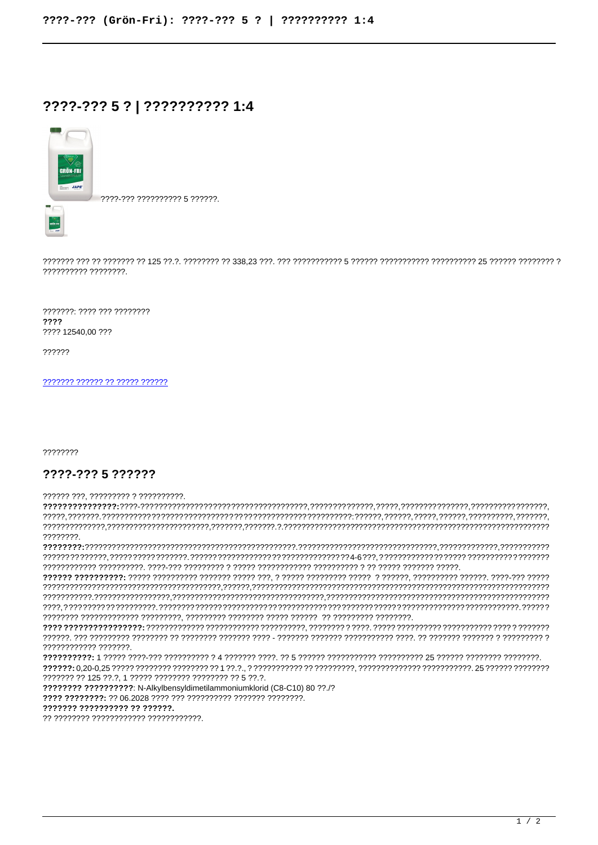## ????-??? 5 ? | ?????????? 1:4



????-??? ?????????? 5 ??????.

???????: ???? ??? ???????? 2222 ???? 12540.00 ???

??????

777777 777777 77 77777 777777

22222222

## ????-??? 5 ??????

?????? ???. ????????? ? ??????????.

22222222 777777777777 7777777 ??????? ?? 125 ??.?, 1 ????? ???????? ???????? ?? 5 ??.?. 222222222222222222: N-Alkylbensyldimetilammoniumklorid (C8-C10) 80 22 /2 7777 77777777: ?? 06.2028 ???? ??? ????????? ??????? ?????????. ??????? ?????????? ?? ??????.

?? ???????? ???????????? ?????????????